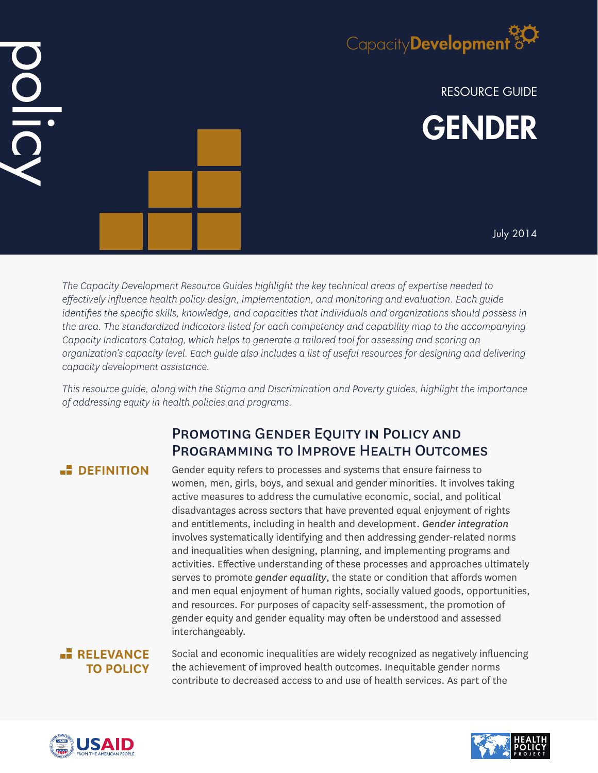

RESOURCE GUIDE GENDER

July 2014

*The Capacity Development Resource Guides highlight the key technical areas of expertise needed to effectively influence health policy design, implementation, and monitoring and evaluation. Each guide identifies the specific skills, knowledge, and capacities that individuals and organizations should possess in the area. The standardized indicators listed for each competency and capability map to the accompanying Capacity Indicators Catalog, which helps to generate a tailored tool for assessing and scoring an organization's capacity level. Each guide also includes a list of useful resources for designing and delivering capacity development assistance.*

*This resource guide, along with the Stigma and Discrimination and Poverty guides, highlight the importance of addressing equity in health policies and programs.*

# PROMOTING GENDER EQUITY IN POLICY AND Programming to Improve Health Outcomes

DIDI

**DEFINITION** Gender equity refers to processes and systems that ensure fairness to women, men, girls, boys, and sexual and gender minorities. It involves taking active measures to address the cumulative economic, social, and political disadvantages across sectors that have prevented equal enjoyment of rights and entitlements, including in health and development. *Gender integration* involves systematically identifying and then addressing gender-related norms and inequalities when designing, planning, and implementing programs and activities. Effective understanding of these processes and approaches ultimately serves to promote *gender equality*, the state or condition that affords women and men equal enjoyment of human rights, socially valued goods, opportunities, and resources. For purposes of capacity self-assessment, the promotion of gender equity and gender equality may often be understood and assessed interchangeably.

## **RELEVANCE TO POLICY**

Social and economic inequalities are widely recognized as negatively influencing the achievement of improved health outcomes. Inequitable gender norms contribute to decreased access to and use of health services. As part of the



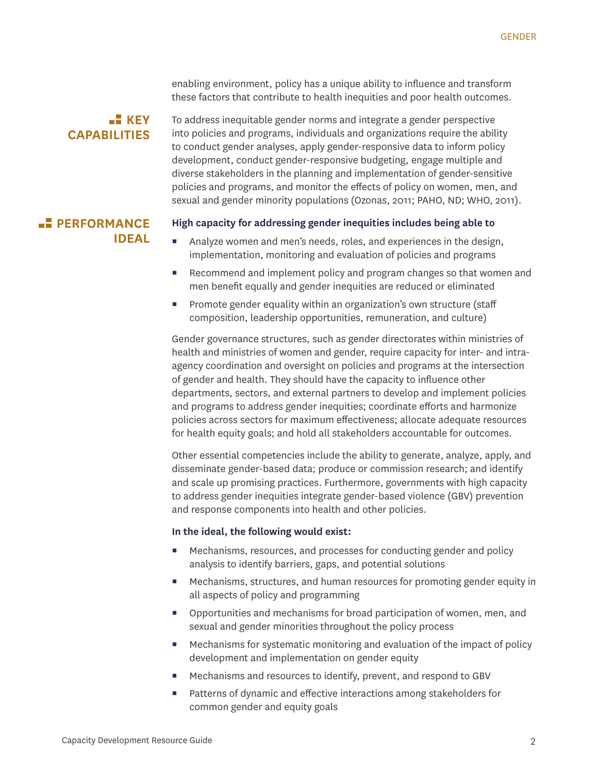enabling environment, policy has a unique ability to influence and transform these factors that contribute to health inequities and poor health outcomes.

## $K$ **KEY CAPABILITIES**

To address inequitable gender norms and integrate a gender perspective into policies and programs, individuals and organizations require the ability to conduct gender analyses, apply gender-responsive data to inform policy development, conduct gender-responsive budgeting, engage multiple and diverse stakeholders in the planning and implementation of gender-sensitive policies and programs, and monitor the effects of policy on women, men, and sexual and gender minority populations (Ozonas, 2011; PAHO, ND; WHO, 2011).

# **PERFORMANCE IDEAL**

#### **High capacity for addressing gender inequities includes being able to**

- Analyze women and men's needs, roles, and experiences in the design, implementation, monitoring and evaluation of policies and programs
- Recommend and implement policy and program changes so that women and men benefit equally and gender inequities are reduced or eliminated
- Promote gender equality within an organization's own structure (staff composition, leadership opportunities, remuneration, and culture)

Gender governance structures, such as gender directorates within ministries of health and ministries of women and gender, require capacity for inter- and intraagency coordination and oversight on policies and programs at the intersection of gender and health. They should have the capacity to influence other departments, sectors, and external partners to develop and implement policies and programs to address gender inequities; coordinate efforts and harmonize policies across sectors for maximum effectiveness; allocate adequate resources for health equity goals; and hold all stakeholders accountable for outcomes.

Other essential competencies include the ability to generate, analyze, apply, and disseminate gender-based data; produce or commission research; and identify and scale up promising practices. Furthermore, governments with high capacity to address gender inequities integrate gender-based violence (GBV) prevention and response components into health and other policies.

### **In the ideal, the following would exist:**

- Mechanisms, resources, and processes for conducting gender and policy analysis to identify barriers, gaps, and potential solutions
- **Mechanisms, structures, and human resources for promoting gender equity in** all aspects of policy and programming
- Opportunities and mechanisms for broad participation of women, men, and sexual and gender minorities throughout the policy process
- Mechanisms for systematic monitoring and evaluation of the impact of policy development and implementation on gender equity
- **Mechanisms and resources to identify, prevent, and respond to GBV**
- Patterns of dynamic and effective interactions among stakeholders for common gender and equity goals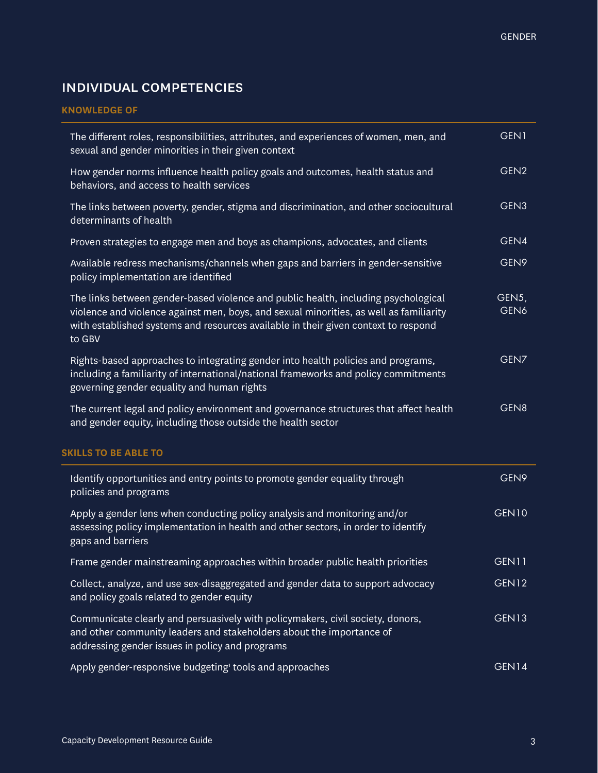# individual competencies

## **KNOWLEDGE OF**

| The different roles, responsibilities, attributes, and experiences of women, men, and<br>sexual and gender minorities in their given context                                                                                                                                 | GEN1             |
|------------------------------------------------------------------------------------------------------------------------------------------------------------------------------------------------------------------------------------------------------------------------------|------------------|
| How gender norms influence health policy goals and outcomes, health status and<br>behaviors, and access to health services                                                                                                                                                   | GEN <sub>2</sub> |
| The links between poverty, gender, stigma and discrimination, and other sociocultural<br>determinants of health                                                                                                                                                              | GEN <sub>3</sub> |
| Proven strategies to engage men and boys as champions, advocates, and clients                                                                                                                                                                                                | GEN4             |
| Available redress mechanisms/channels when gaps and barriers in gender-sensitive<br>policy implementation are identified                                                                                                                                                     | GEN9             |
| The links between gender-based violence and public health, including psychological<br>violence and violence against men, boys, and sexual minorities, as well as familiarity<br>with established systems and resources available in their given context to respond<br>to GBV | GEN5,<br>GEN6    |
| Rights-based approaches to integrating gender into health policies and programs,<br>including a familiarity of international/national frameworks and policy commitments<br>governing gender equality and human rights                                                        | GEN7             |
| The current legal and policy environment and governance structures that affect health<br>and gender equity, including those outside the health sector                                                                                                                        | GEN8             |
| <b>SKILLS TO BE ABLE TO</b>                                                                                                                                                                                                                                                  |                  |
| Identify opportunities and entry points to promote gender equality through<br>policies and programs                                                                                                                                                                          | GEN9             |
| Apply a gender lens when conducting policy analysis and monitoring and/or<br>assessing policy implementation in health and other sectors, in order to identify<br>gaps and barriers                                                                                          | <b>GEN10</b>     |
| Frame gender mainstreaming approaches within broader public health priorities                                                                                                                                                                                                | GEN11            |
| Collect, analyze, and use sex-disaggregated and gender data to support advocacy<br>and policy goals related to gender equity                                                                                                                                                 | GEN12            |
| Communicate clearly and persuasively with policymakers, civil society, donors,<br>and other community leaders and stakeholders about the importance of<br>addressing gender issues in policy and programs                                                                    | GEN13            |
| Apply gender-responsive budgeting' tools and approaches                                                                                                                                                                                                                      | GEN14            |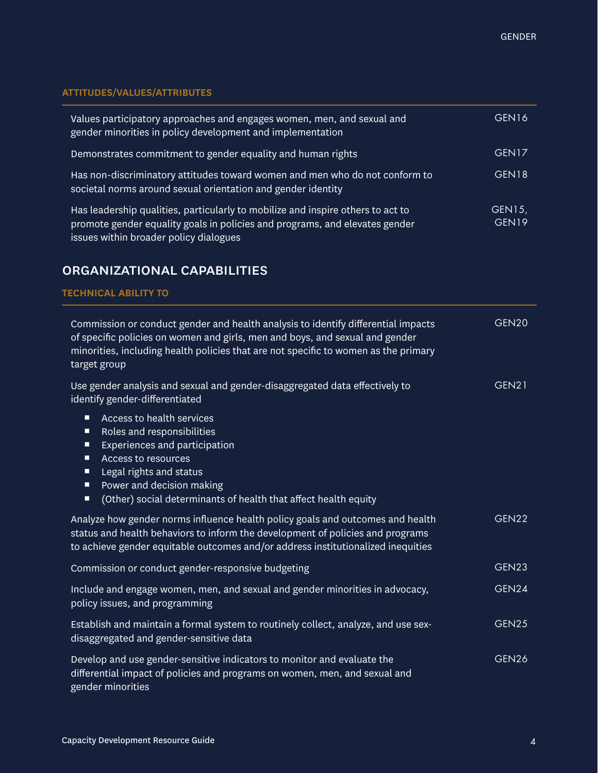## **ATTITUDES/VALUES/ATTRIBUTES**

| Values participatory approaches and engages women, men, and sexual and<br>gender minorities in policy development and implementation                                                                     | GEN <sub>16</sub>           |
|----------------------------------------------------------------------------------------------------------------------------------------------------------------------------------------------------------|-----------------------------|
| Demonstrates commitment to gender equality and human rights                                                                                                                                              | GEN <sub>17</sub>           |
| Has non-discriminatory attitudes toward women and men who do not conform to<br>societal norms around sexual orientation and gender identity                                                              | GEN <sub>18</sub>           |
| Has leadership qualities, particularly to mobilize and inspire others to act to<br>promote gender equality goals in policies and programs, and elevates gender<br>issues within broader policy dialogues | GEN15,<br>GEN <sub>19</sub> |

# organizational capabilities

### **TECHNICAL ABILITY TO**

| Commission or conduct gender and health analysis to identify differential impacts<br>of specific policies on women and girls, men and boys, and sexual and gender<br>minorities, including health policies that are not specific to women as the primary<br>target group             | GEN20             |
|--------------------------------------------------------------------------------------------------------------------------------------------------------------------------------------------------------------------------------------------------------------------------------------|-------------------|
| Use gender analysis and sexual and gender-disaggregated data effectively to<br>identify gender-differentiated                                                                                                                                                                        | GEN21             |
| Access to health services<br>п<br>Roles and responsibilities<br>п<br>Experiences and participation<br>п<br><b>Access to resources</b><br>Ξ<br>Legal rights and status<br>Ξ<br>Power and decision making<br>Ξ<br>(Other) social determinants of health that affect health equity<br>п |                   |
| Analyze how gender norms influence health policy goals and outcomes and health<br>status and health behaviors to inform the development of policies and programs<br>to achieve gender equitable outcomes and/or address institutionalized inequities                                 | GEN <sub>22</sub> |
| Commission or conduct gender-responsive budgeting                                                                                                                                                                                                                                    | GEN23             |
| Include and engage women, men, and sexual and gender minorities in advocacy,<br>policy issues, and programming                                                                                                                                                                       | GEN24             |
| Establish and maintain a formal system to routinely collect, analyze, and use sex-<br>disaggregated and gender-sensitive data                                                                                                                                                        | GEN25             |
| Develop and use gender-sensitive indicators to monitor and evaluate the<br>differential impact of policies and programs on women, men, and sexual and<br>gender minorities                                                                                                           | GEN <sub>26</sub> |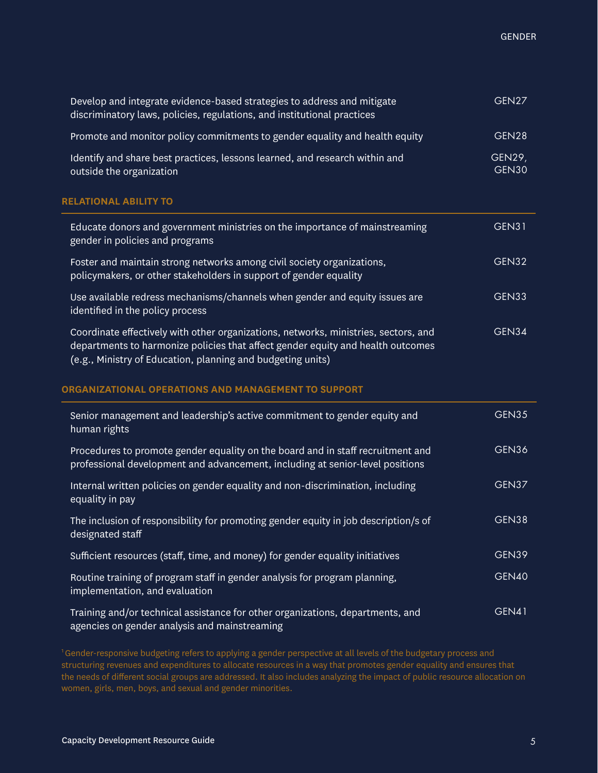| Develop and integrate evidence-based strategies to address and mitigate<br>discriminatory laws, policies, regulations, and institutional practices                                                                                    | GEN27                         |
|---------------------------------------------------------------------------------------------------------------------------------------------------------------------------------------------------------------------------------------|-------------------------------|
| Promote and monitor policy commitments to gender equality and health equity                                                                                                                                                           | GEN28                         |
| Identify and share best practices, lessons learned, and research within and<br>outside the organization                                                                                                                               | <b>GEN29,</b><br><b>GEN30</b> |
| <b>RELATIONAL ABILITY TO</b>                                                                                                                                                                                                          |                               |
| Educate donors and government ministries on the importance of mainstreaming<br>gender in policies and programs                                                                                                                        | <b>GEN31</b>                  |
| Foster and maintain strong networks among civil society organizations,<br>policymakers, or other stakeholders in support of gender equality                                                                                           | GEN32                         |
| Use available redress mechanisms/channels when gender and equity issues are<br>identified in the policy process                                                                                                                       | GEN33                         |
| Coordinate effectively with other organizations, networks, ministries, sectors, and<br>departments to harmonize policies that affect gender equity and health outcomes<br>(e.g., Ministry of Education, planning and budgeting units) | GEN34                         |
| ORGANIZATIONAL OPERATIONS AND MANAGEMENT TO SUPPORT                                                                                                                                                                                   |                               |
| Senior management and leadership's active commitment to gender equity and<br>human rights                                                                                                                                             | GEN35                         |
| Procedures to promote gender equality on the board and in staff recruitment and<br>professional development and advancement, including at senior-level positions                                                                      | GEN36                         |
| Internal written policies on gender equality and non-discrimination, including<br>equality in pay                                                                                                                                     | GEN37                         |
| The inclusion of responsibility for promoting gender equity in job description/s of<br>designated staff                                                                                                                               | GEN38                         |
| Sufficient resources (staff, time, and money) for gender equality initiatives                                                                                                                                                         | GEN39                         |
| Routine training of program staff in gender analysis for program planning,                                                                                                                                                            | <b>GEN40</b>                  |

Training and/or technical assistance for other organizations, departments, and agencies on gender analysis and mainstreaming GEN41

<sup>1</sup>Gender-responsive budgeting refers to applying a gender perspective at all levels of the budgetary process and structuring revenues and expenditures to allocate resources in a way that promotes gender equality and ensures that the needs of different social groups are addressed. It also includes analyzing the impact of public resource allocation on women, girls, men, boys, and sexual and gender minorities.

implementation, and evaluation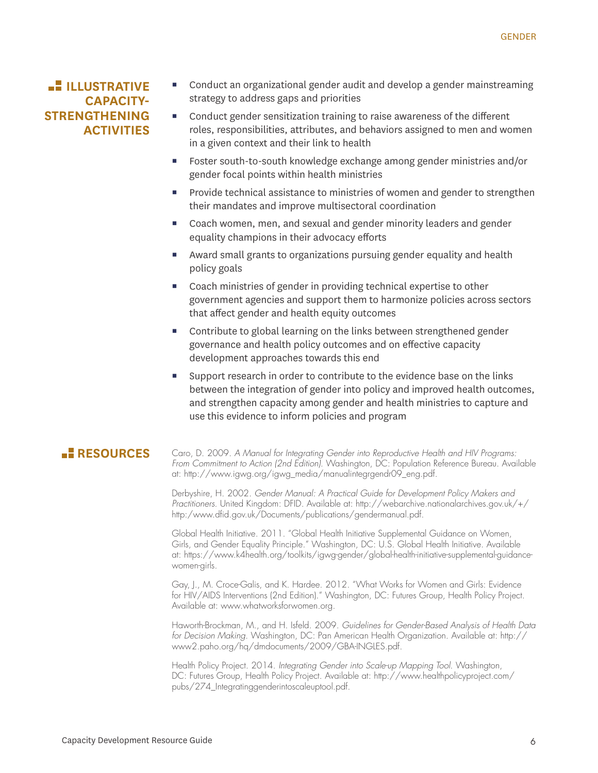## **ILLUSTRATIVE CAPACITY-STRENGTHENING ACTIVITIES**

- Conduct an organizational gender audit and develop a gender mainstreaming strategy to address gaps and priorities
- Conduct gender sensitization training to raise awareness of the different roles, responsibilities, attributes, and behaviors assigned to men and women in a given context and their link to health
- Foster south-to-south knowledge exchange among gender ministries and/or gender focal points within health ministries
- **Provide technical assistance to ministries of women and gender to strengthen** their mandates and improve multisectoral coordination
- Coach women, men, and sexual and gender minority leaders and gender equality champions in their advocacy efforts
- Award small grants to organizations pursuing gender equality and health policy goals
- Coach ministries of gender in providing technical expertise to other government agencies and support them to harmonize policies across sectors that affect gender and health equity outcomes
- Contribute to global learning on the links between strengthened gender governance and health policy outcomes and on effective capacity development approaches towards this end
- Support research in order to contribute to the evidence base on the links between the integration of gender into policy and improved health outcomes, and strengthen capacity among gender and health ministries to capture and use this evidence to inform policies and program

**RESOURCES** Caro, D. 2009. *A Manual for Integrating Gender into Reproductive Health and HIV Programs: From Commitment to Action (2nd Edition)*. Washington, DC: Population Reference Bureau. Available at: http://www.igwg.org/igwg\_media/manualintegrgendr09\_eng.pdf.

> Derbyshire, H. 2002. *Gender Manual: A Practical Guide for Development Policy Makers and Practitioners*. United Kingdom: DFID. Available at: http://webarchive.nationalarchives.gov.uk/+/ http:/www.dfid.gov.uk/Documents/publications/gendermanual.pdf.

> Global Health Initiative. 2011. "Global Health Initiative Supplemental Guidance on Women, Girls, and Gender Equality Principle." Washington, DC: U.S. Global Health Initiative. Available at: https://www.k4health.org/toolkits/igwg-gender/global-health-initiative-supplemental-guidancewomen-girls.

Gay, J., M. Croce-Galis, and K. Hardee. 2012. "What Works for Women and Girls: Evidence for HIV/AIDS Interventions (2nd Edition)." Washington, DC: Futures Group, Health Policy Project. Available at: www.whatworksforwomen.org.

Haworth-Brockman, M., and H. Isfeld. 2009. *Guidelines for Gender-Based Analysis of Health Data for Decision Making*. Washington, DC: Pan American Health Organization. Available at: http:// www2.paho.org/hq/dmdocuments/2009/GBA-INGLES.pdf.

Health Policy Project. 2014. *Integrating Gender into Scale-up Mapping Tool*. Washington, DC: Futures Group, Health Policy Project. Available at: http://www.healthpolicyproject.com/ pubs/274\_Integratinggenderintoscaleuptool.pdf.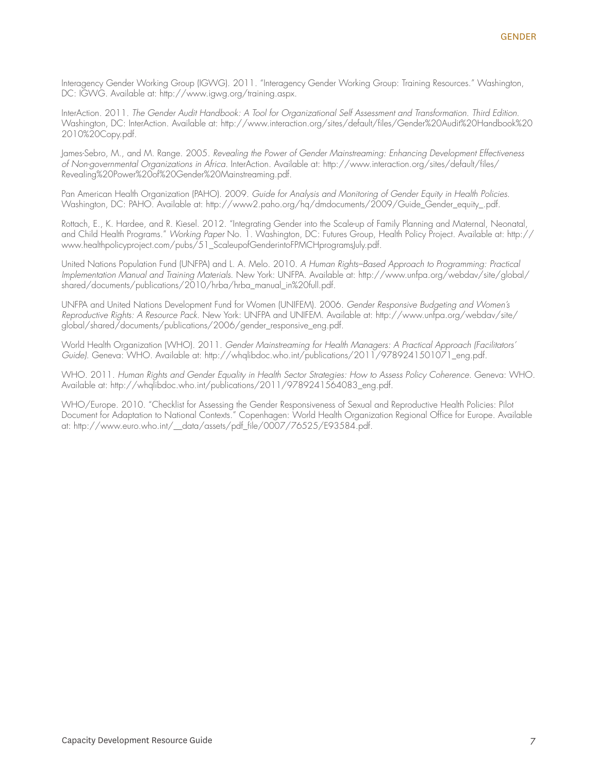Interagency Gender Working Group (IGWG). 2011. "Interagency Gender Working Group: Training Resources." Washington, DC: IGWG. Available at: http://www.igwg.org/training.aspx.

InterAction. 2011. *The Gender Audit Handbook: A Tool for Organizational Self Assessment and Transformation. Third Edition*. Washington, DC: InterAction. Available at: http://www.interaction.org/sites/default/files/Gender%20Audit%20Handbook%20 2010%20Copy.pdf.

James-Sebro, M., and M. Range. 2005. *Revealing the Power of Gender Mainstreaming: Enhancing Development Effectiveness of Non-governmental Organizations in Africa*. InterAction. Available at: http://www.interaction.org/sites/default/files/ Revealing%20Power%20of%20Gender%20Mainstreaming.pdf.

Pan American Health Organization (PAHO). 2009. *Guide for Analysis and Monitoring of Gender Equity in Health Policies*. Washington, DC: PAHO. Available at: http://www2.paho.org/hq/dmdocuments/2009/Guide\_Gender\_equity\_.pdf.

Rottach, E., K. Hardee, and R. Kiesel. 2012. "Integrating Gender into the Scale-up of Family Planning and Maternal, Neonatal, and Child Health Programs." *Working Paper* No. 1. Washington, DC: Futures Group, Health Policy Project. Available at: http:// www.healthpolicyproject.com/pubs/51\_ScaleupofGenderintoFPMCHprogramsJuly.pdf.

United Nations Population Fund (UNFPA) and L. A. Melo. 2010. *A Human Rights–Based Approach to Programming: Practical Implementation Manual and Training Materials*. New York: UNFPA. Available at: http://www.unfpa.org/webdav/site/global/ shared/documents/publications/2010/hrba/hrba\_manual\_in%20full.pdf.

UNFPA and United Nations Development Fund for Women (UNIFEM). 2006. *Gender Responsive Budgeting and Women's Reproductive Rights: A Resource Pack*. New York: UNFPA and UNIFEM. Available at: http://www.unfpa.org/webdav/site/ global/shared/documents/publications/2006/gender\_responsive\_eng.pdf.

World Health Organization (WHO). 2011. *Gender Mainstreaming for Health Managers: A Practical Approach (Facilitators' Guide)*. Geneva: WHO. Available at: http://whqlibdoc.who.int/publications/2011/9789241501071\_eng.pdf.

WHO. 2011. *Human Rights and Gender Equality in Health Sector Strategies: How to Assess Policy Coherence*. Geneva: WHO. Available at: http://whqlibdoc.who.int/publications/2011/9789241564083\_eng.pdf.

WHO/Europe. 2010. "Checklist for Assessing the Gender Responsiveness of Sexual and Reproductive Health Policies: Pilot Document for Adaptation to National Contexts." Copenhagen: World Health Organization Regional Office for Europe. Available at: http://www.euro.who.int/\_\_data/assets/pdf\_file/0007/76525/E93584.pdf.